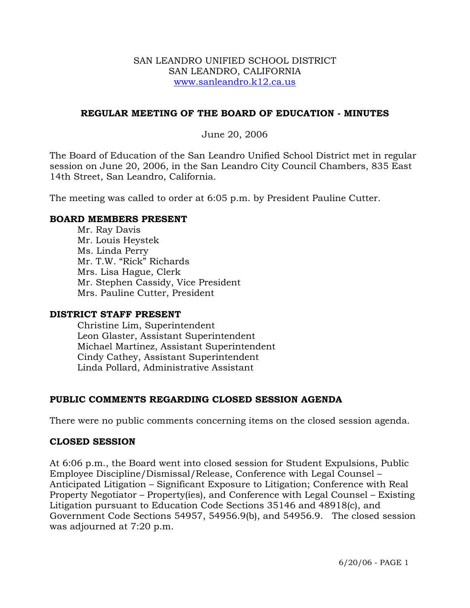### SAN LEANDRO UNIFIED SCHOOL DISTRICT SAN LEANDRO, CALIFORNIA www.sanleandro.k12.ca.us

## **REGULAR MEETING OF THE BOARD OF EDUCATION - MINUTES**

## June 20, 2006

The Board of Education of the San Leandro Unified School District met in regular session on June 20, 2006, in the San Leandro City Council Chambers, 835 East 14th Street, San Leandro, California.

The meeting was called to order at 6:05 p.m. by President Pauline Cutter.

### **BOARD MEMBERS PRESENT**

Mr. Ray Davis Mr. Louis Heystek Ms. Linda Perry Mr. T.W. "Rick" Richards Mrs. Lisa Hague, Clerk Mr. Stephen Cassidy, Vice President Mrs. Pauline Cutter, President

### **DISTRICT STAFF PRESENT**

Christine Lim, Superintendent Leon Glaster, Assistant Superintendent Michael Martinez, Assistant Superintendent Cindy Cathey, Assistant Superintendent Linda Pollard, Administrative Assistant

# **PUBLIC COMMENTS REGARDING CLOSED SESSION AGENDA**

There were no public comments concerning items on the closed session agenda.

### **CLOSED SESSION**

At 6:06 p.m., the Board went into closed session for Student Expulsions, Public Employee Discipline/Dismissal/Release, Conference with Legal Counsel – Anticipated Litigation – Significant Exposure to Litigation; Conference with Real Property Negotiator – Property(ies), and Conference with Legal Counsel – Existing Litigation pursuant to Education Code Sections 35146 and 48918(c), and Government Code Sections 54957, 54956.9(b), and 54956.9. The closed session was adjourned at 7:20 p.m.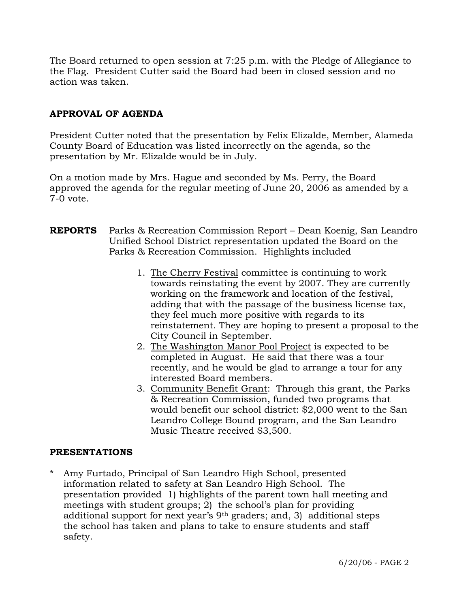The Board returned to open session at 7:25 p.m. with the Pledge of Allegiance to the Flag. President Cutter said the Board had been in closed session and no action was taken.

# **APPROVAL OF AGENDA**

President Cutter noted that the presentation by Felix Elizalde, Member, Alameda County Board of Education was listed incorrectly on the agenda, so the presentation by Mr. Elizalde would be in July.

On a motion made by Mrs. Hague and seconded by Ms. Perry, the Board approved the agenda for the regular meeting of June 20, 2006 as amended by a 7-0 vote.

# **REPORTS** Parks & Recreation Commission Report – Dean Koenig, San Leandro Unified School District representation updated the Board on the Parks & Recreation Commission. Highlights included

- 1. The Cherry Festival committee is continuing to work towards reinstating the event by 2007. They are currently working on the framework and location of the festival, adding that with the passage of the business license tax, they feel much more positive with regards to its reinstatement. They are hoping to present a proposal to the City Council in September.
- 2. The Washington Manor Pool Project is expected to be completed in August. He said that there was a tour recently, and he would be glad to arrange a tour for any interested Board members.
- 3. Community Benefit Grant: Through this grant, the Parks & Recreation Commission, funded two programs that would benefit our school district: \$2,000 went to the San Leandro College Bound program, and the San Leandro Music Theatre received \$3,500.

# **PRESENTATIONS**

Amy Furtado, Principal of San Leandro High School, presented information related to safety at San Leandro High School. The presentation provided 1) highlights of the parent town hall meeting and meetings with student groups; 2) the school's plan for providing additional support for next year's 9th graders; and, 3) additional steps the school has taken and plans to take to ensure students and staff safety.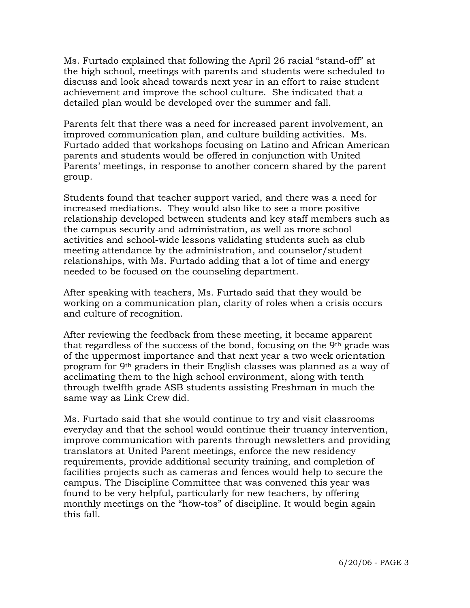Ms. Furtado explained that following the April 26 racial "stand-off" at the high school, meetings with parents and students were scheduled to discuss and look ahead towards next year in an effort to raise student achievement and improve the school culture. She indicated that a detailed plan would be developed over the summer and fall.

Parents felt that there was a need for increased parent involvement, an improved communication plan, and culture building activities. Ms. Furtado added that workshops focusing on Latino and African American parents and students would be offered in conjunction with United Parents' meetings, in response to another concern shared by the parent group.

Students found that teacher support varied, and there was a need for increased mediations. They would also like to see a more positive relationship developed between students and key staff members such as the campus security and administration, as well as more school activities and school-wide lessons validating students such as club meeting attendance by the administration, and counselor/student relationships, with Ms. Furtado adding that a lot of time and energy needed to be focused on the counseling department.

After speaking with teachers, Ms. Furtado said that they would be working on a communication plan, clarity of roles when a crisis occurs and culture of recognition.

After reviewing the feedback from these meeting, it became apparent that regardless of the success of the bond, focusing on the 9th grade was of the uppermost importance and that next year a two week orientation program for 9th graders in their English classes was planned as a way of acclimating them to the high school environment, along with tenth through twelfth grade ASB students assisting Freshman in much the same way as Link Crew did.

Ms. Furtado said that she would continue to try and visit classrooms everyday and that the school would continue their truancy intervention, improve communication with parents through newsletters and providing translators at United Parent meetings, enforce the new residency requirements, provide additional security training, and completion of facilities projects such as cameras and fences would help to secure the campus. The Discipline Committee that was convened this year was found to be very helpful, particularly for new teachers, by offering monthly meetings on the "how-tos" of discipline. It would begin again this fall.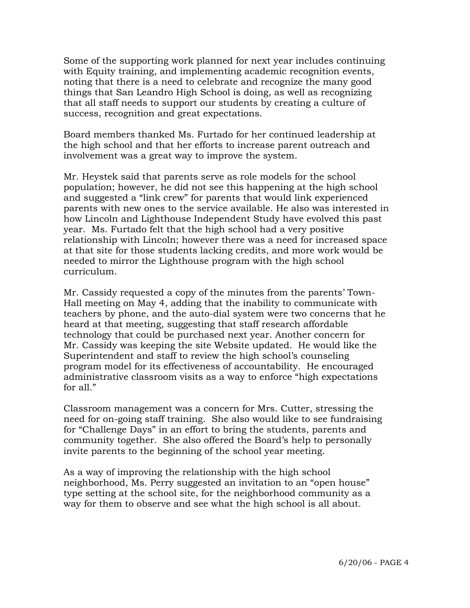Some of the supporting work planned for next year includes continuing with Equity training, and implementing academic recognition events, noting that there is a need to celebrate and recognize the many good things that San Leandro High School is doing, as well as recognizing that all staff needs to support our students by creating a culture of success, recognition and great expectations.

Board members thanked Ms. Furtado for her continued leadership at the high school and that her efforts to increase parent outreach and involvement was a great way to improve the system.

Mr. Heystek said that parents serve as role models for the school population; however, he did not see this happening at the high school and suggested a "link crew" for parents that would link experienced parents with new ones to the service available. He also was interested in how Lincoln and Lighthouse Independent Study have evolved this past year. Ms. Furtado felt that the high school had a very positive relationship with Lincoln; however there was a need for increased space at that site for those students lacking credits, and more work would be needed to mirror the Lighthouse program with the high school curriculum.

 Mr. Cassidy requested a copy of the minutes from the parents' Town- Hall meeting on May 4, adding that the inability to communicate with teachers by phone, and the auto-dial system were two concerns that he heard at that meeting, suggesting that staff research affordable technology that could be purchased next year. Another concern for Mr. Cassidy was keeping the site Website updated. He would like the Superintendent and staff to review the high school's counseling program model for its effectiveness of accountability. He encouraged administrative classroom visits as a way to enforce "high expectations for all."

Classroom management was a concern for Mrs. Cutter, stressing the need for on-going staff training. She also would like to see fundraising for "Challenge Days" in an effort to bring the students, parents and community together. She also offered the Board's help to personally invite parents to the beginning of the school year meeting.

As a way of improving the relationship with the high school neighborhood, Ms. Perry suggested an invitation to an "open house" type setting at the school site, for the neighborhood community as a way for them to observe and see what the high school is all about.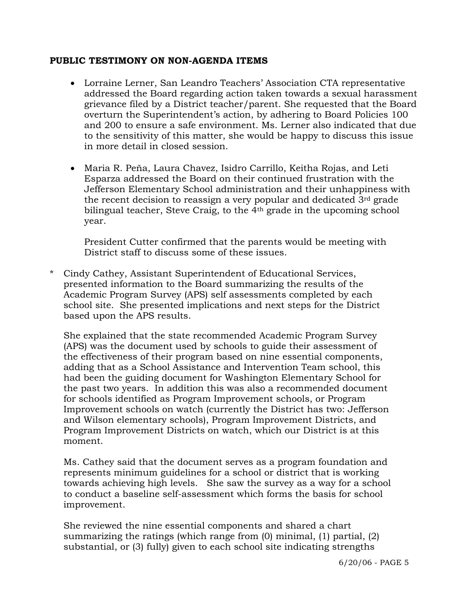## **PUBLIC TESTIMONY ON NON-AGENDA ITEMS**

- Lorraine Lerner, San Leandro Teachers' Association CTA representative addressed the Board regarding action taken towards a sexual harassment grievance filed by a District teacher/parent. She requested that the Board overturn the Superintendent's action, by adhering to Board Policies 100 and 200 to ensure a safe environment. Ms. Lerner also indicated that due to the sensitivity of this matter, she would be happy to discuss this issue in more detail in closed session.
- Maria R. Peña, Laura Chavez, Isidro Carrillo, Keitha Rojas, and Leti Esparza addressed the Board on their continued frustration with the Jefferson Elementary School administration and their unhappiness with the recent decision to reassign a very popular and dedicated 3rd grade bilingual teacher, Steve Craig, to the 4<sup>th</sup> grade in the upcoming school year.

President Cutter confirmed that the parents would be meeting with District staff to discuss some of these issues.

\* Cindy Cathey, Assistant Superintendent of Educational Services, presented information to the Board summarizing the results of the Academic Program Survey (APS) self assessments completed by each school site. She presented implications and next steps for the District based upon the APS results.

She explained that the state recommended Academic Program Survey (APS) was the document used by schools to guide their assessment of the effectiveness of their program based on nine essential components, adding that as a School Assistance and Intervention Team school, this had been the guiding document for Washington Elementary School for the past two years. In addition this was also a recommended document for schools identified as Program Improvement schools, or Program Improvement schools on watch (currently the District has two: Jefferson and Wilson elementary schools), Program Improvement Districts, and Program Improvement Districts on watch, which our District is at this moment.

Ms. Cathey said that the document serves as a program foundation and represents minimum guidelines for a school or district that is working towards achieving high levels. She saw the survey as a way for a school to conduct a baseline self-assessment which forms the basis for school improvement.

 She reviewed the nine essential components and shared a chart summarizing the ratings (which range from (0) minimal, (1) partial, (2) substantial, or (3) fully) given to each school site indicating strengths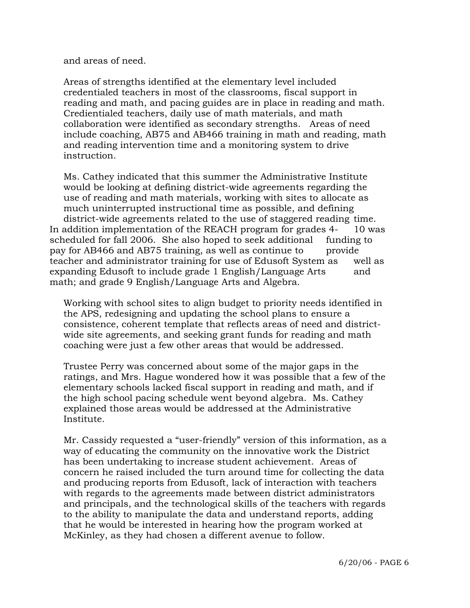and areas of need.

 Areas of strengths identified at the elementary level included credentialed teachers in most of the classrooms, fiscal support in reading and math, and pacing guides are in place in reading and math. Credientialed teachers, daily use of math materials, and math collaboration were identified as secondary strengths. Areas of need include coaching, AB75 and AB466 training in math and reading, math and reading intervention time and a monitoring system to drive instruction.

 Ms. Cathey indicated that this summer the Administrative Institute would be looking at defining district-wide agreements regarding the use of reading and math materials, working with sites to allocate as much uninterrupted instructional time as possible, and defining district-wide agreements related to the use of staggered reading time. In addition implementation of the REACH program for grades 4- 10 was scheduled for fall 2006. She also hoped to seek additional funding to pay for AB466 and AB75 training, as well as continue to provide teacher and administrator training for use of Edusoft System as well as expanding Edusoft to include grade 1 English/Language Arts and math; and grade 9 English/Language Arts and Algebra.

 Working with school sites to align budget to priority needs identified in the APS, redesigning and updating the school plans to ensure a consistence, coherent template that reflects areas of need and district wide site agreements, and seeking grant funds for reading and math coaching were just a few other areas that would be addressed.

 Trustee Perry was concerned about some of the major gaps in the ratings, and Mrs. Hague wondered how it was possible that a few of the elementary schools lacked fiscal support in reading and math, and if the high school pacing schedule went beyond algebra. Ms. Cathey explained those areas would be addressed at the Administrative Institute.

 Mr. Cassidy requested a "user-friendly" version of this information, as a way of educating the community on the innovative work the District has been undertaking to increase student achievement. Areas of concern he raised included the turn around time for collecting the data and producing reports from Edusoft, lack of interaction with teachers with regards to the agreements made between district administrators and principals, and the technological skills of the teachers with regards to the ability to manipulate the data and understand reports, adding that he would be interested in hearing how the program worked at McKinley, as they had chosen a different avenue to follow.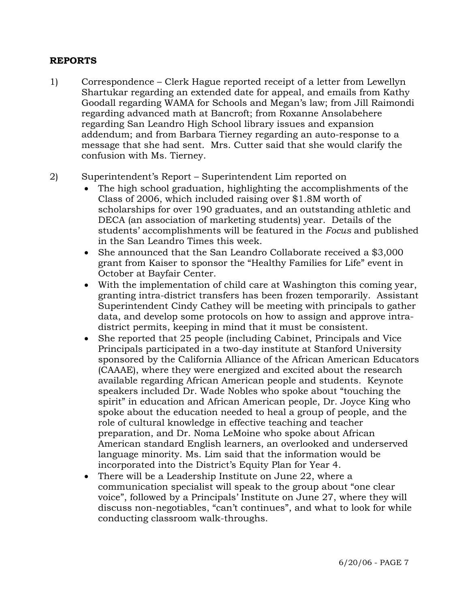## **REPORTS**

- 1) Correspondence Clerk Hague reported receipt of a letter from Lewellyn Shartukar regarding an extended date for appeal, and emails from Kathy Goodall regarding WAMA for Schools and Megan's law; from Jill Raimondi regarding advanced math at Bancroft; from Roxanne Ansolabehere regarding San Leandro High School library issues and expansion addendum; and from Barbara Tierney regarding an auto-response to a message that she had sent. Mrs. Cutter said that she would clarify the confusion with Ms. Tierney.
- 2) Superintendent's Report Superintendent Lim reported on
	- The high school graduation, highlighting the accomplishments of the Class of 2006, which included raising over \$1.8M worth of scholarships for over 190 graduates, and an outstanding athletic and DECA (an association of marketing students) year. Details of the students' accomplishments will be featured in the *Focus* and published in the San Leandro Times this week.
	- She announced that the San Leandro Collaborate received a \$3,000 grant from Kaiser to sponsor the "Healthy Families for Life" event in October at Bayfair Center.
	- With the implementation of child care at Washington this coming year, granting intra-district transfers has been frozen temporarily. Assistant Superintendent Cindy Cathey will be meeting with principals to gather data, and develop some protocols on how to assign and approve intradistrict permits, keeping in mind that it must be consistent.
	- She reported that 25 people (including Cabinet, Principals and Vice Principals participated in a two-day institute at Stanford University sponsored by the California Alliance of the African American Educators (CAAAE), where they were energized and excited about the research available regarding African American people and students. Keynote speakers included Dr. Wade Nobles who spoke about "touching the spirit" in education and African American people, Dr. Joyce King who spoke about the education needed to heal a group of people, and the role of cultural knowledge in effective teaching and teacher preparation, and Dr. Noma LeMoine who spoke about African American standard English learners, an overlooked and underserved language minority. Ms. Lim said that the information would be incorporated into the District's Equity Plan for Year 4.
	- There will be a Leadership Institute on June 22, where a communication specialist will speak to the group about "one clear voice", followed by a Principals' Institute on June 27, where they will discuss non-negotiables, "can't continues", and what to look for while conducting classroom walk-throughs.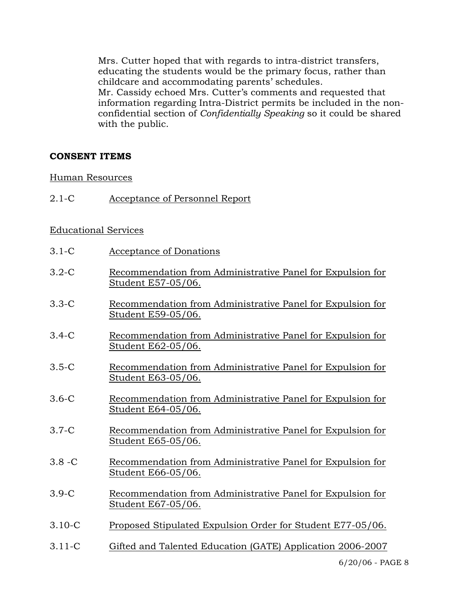Mrs. Cutter hoped that with regards to intra-district transfers, educating the students would be the primary focus, rather than childcare and accommodating parents' schedules.

 Mr. Cassidy echoed Mrs. Cutter's comments and requested that information regarding Intra-District permits be included in the non confidential section of *Confidentially Speaking* so it could be shared with the public.

## **CONSENT ITEMS**

### Human Resources

2.1-C Acceptance of Personnel Report

### Educational Services

- 3.1-C Acceptance of Donations
- 3.2-C Recommendation from Administrative Panel for Expulsion for Student E57-05/06.
- 3.3-C Recommendation from Administrative Panel for Expulsion for Student E59-05/06.
- 3.4-C Recommendation from Administrative Panel for Expulsion for Student E62-05/06.
- 3.5-C Recommendation from Administrative Panel for Expulsion for Student E63-05/06.
- 3.6-C Recommendation from Administrative Panel for Expulsion for Student E64-05/06.
- 3.7-C Recommendation from Administrative Panel for Expulsion for Student E65-05/06.
- 3.8 -C Recommendation from Administrative Panel for Expulsion for Student E66-05/06.
- 3.9-C Recommendation from Administrative Panel for Expulsion for Student E67-05/06.
- 3.10-C Proposed Stipulated Expulsion Order for Student E77-05/06.
- 3.11-C Gifted and Talented Education (GATE) Application 2006-2007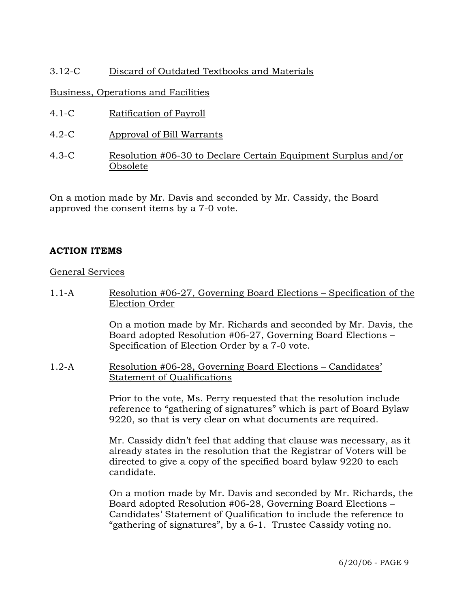# 3.12-C Discard of Outdated Textbooks and Materials

# Business, Operations and Facilities

- 4.1-C Ratification of Payroll
- 4.2-C Approval of Bill Warrants
- 4.3-C Resolution #06-30 to Declare Certain Equipment Surplus and/or Obsolete

On a motion made by Mr. Davis and seconded by Mr. Cassidy, the Board approved the consent items by a 7-0 vote.

# **ACTION ITEMS**

## General Services

1.1-A Resolution #06-27, Governing Board Elections – Specification of the Election Order

> On a motion made by Mr. Richards and seconded by Mr. Davis, the Board adopted Resolution #06-27, Governing Board Elections – Specification of Election Order by a 7-0 vote.

1.2-A Resolution #06-28, Governing Board Elections – Candidates' Statement of Qualifications

> Prior to the vote, Ms. Perry requested that the resolution include reference to "gathering of signatures" which is part of Board Bylaw 9220, so that is very clear on what documents are required.

> Mr. Cassidy didn't feel that adding that clause was necessary, as it already states in the resolution that the Registrar of Voters will be directed to give a copy of the specified board bylaw 9220 to each candidate.

> On a motion made by Mr. Davis and seconded by Mr. Richards, the Board adopted Resolution #06-28, Governing Board Elections – Candidates' Statement of Qualification to include the reference to "gathering of signatures", by a 6-1. Trustee Cassidy voting no.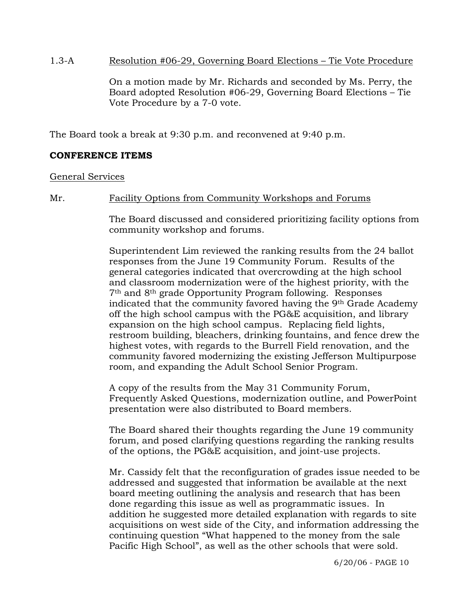### 1.3-A Resolution #06-29, Governing Board Elections – Tie Vote Procedure

On a motion made by Mr. Richards and seconded by Ms. Perry, the Board adopted Resolution #06-29, Governing Board Elections – Tie Vote Procedure by a 7-0 vote.

The Board took a break at 9:30 p.m. and reconvened at 9:40 p.m.

# **CONFERENCE ITEMS**

General Services

Mr. Facility Options from Community Workshops and Forums

The Board discussed and considered prioritizing facility options from community workshop and forums.

Superintendent Lim reviewed the ranking results from the 24 ballot responses from the June 19 Community Forum. Results of the general categories indicated that overcrowding at the high school and classroom modernization were of the highest priority, with the 7th and 8th grade Opportunity Program following. Responses indicated that the community favored having the 9th Grade Academy off the high school campus with the PG&E acquisition, and library expansion on the high school campus. Replacing field lights, restroom building, bleachers, drinking fountains, and fence drew the highest votes, with regards to the Burrell Field renovation, and the community favored modernizing the existing Jefferson Multipurpose room, and expanding the Adult School Senior Program.

A copy of the results from the May 31 Community Forum, Frequently Asked Questions, modernization outline, and PowerPoint presentation were also distributed to Board members.

The Board shared their thoughts regarding the June 19 community forum, and posed clarifying questions regarding the ranking results of the options, the PG&E acquisition, and joint-use projects.

Mr. Cassidy felt that the reconfiguration of grades issue needed to be addressed and suggested that information be available at the next board meeting outlining the analysis and research that has been done regarding this issue as well as programmatic issues. In addition he suggested more detailed explanation with regards to site acquisitions on west side of the City, and information addressing the continuing question "What happened to the money from the sale Pacific High School", as well as the other schools that were sold.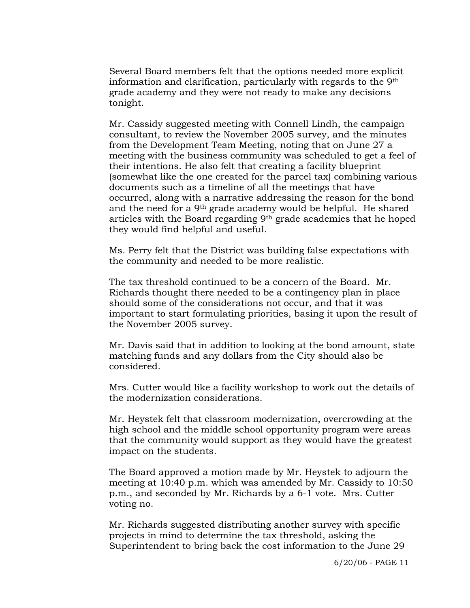Several Board members felt that the options needed more explicit information and clarification, particularly with regards to the 9th grade academy and they were not ready to make any decisions tonight.

Mr. Cassidy suggested meeting with Connell Lindh, the campaign consultant, to review the November 2005 survey, and the minutes from the Development Team Meeting, noting that on June 27 a meeting with the business community was scheduled to get a feel of their intentions. He also felt that creating a facility blueprint (somewhat like the one created for the parcel tax) combining various documents such as a timeline of all the meetings that have occurred, along with a narrative addressing the reason for the bond and the need for a 9th grade academy would be helpful. He shared articles with the Board regarding 9th grade academies that he hoped they would find helpful and useful.

Ms. Perry felt that the District was building false expectations with the community and needed to be more realistic.

The tax threshold continued to be a concern of the Board. Mr. Richards thought there needed to be a contingency plan in place should some of the considerations not occur, and that it was important to start formulating priorities, basing it upon the result of the November 2005 survey.

Mr. Davis said that in addition to looking at the bond amount, state matching funds and any dollars from the City should also be considered.

Mrs. Cutter would like a facility workshop to work out the details of the modernization considerations.

Mr. Heystek felt that classroom modernization, overcrowding at the high school and the middle school opportunity program were areas that the community would support as they would have the greatest impact on the students.

The Board approved a motion made by Mr. Heystek to adjourn the meeting at 10:40 p.m. which was amended by Mr. Cassidy to 10:50 p.m., and seconded by Mr. Richards by a 6-1 vote. Mrs. Cutter voting no.

Mr. Richards suggested distributing another survey with specific projects in mind to determine the tax threshold, asking the Superintendent to bring back the cost information to the June 29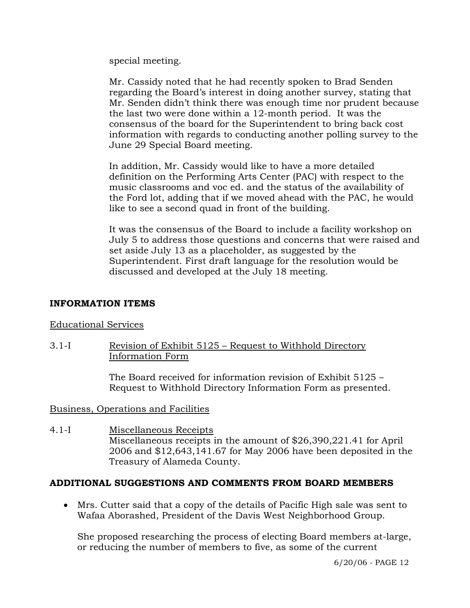special meeting.

Mr. Cassidy noted that he had recently spoken to Brad Senden regarding the Board's interest in doing another survey, stating that Mr. Senden didn't think there was enough time nor prudent because the last two were done within a 12-month period. It was the consensus of the board for the Superintendent to bring back cost information with regards to conducting another polling survey to the June 29 Special Board meeting.

In addition, Mr. Cassidy would like to have a more detailed definition on the Performing Arts Center (PAC) with respect to the music classrooms and voc ed. and the status of the availability of the Ford lot, adding that if we moved ahead with the PAC, he would like to see a second quad in front of the building.

It was the consensus of the Board to include a facility workshop on July 5 to address those questions and concerns that were raised and set aside July 13 as a placeholder, as suggested by the Superintendent. First draft language for the resolution would be discussed and developed at the July 18 meeting.

# **INFORMATION ITEMS**

# Educational Services

3.1-I Revision of Exhibit 5125 – Request to Withhold Directory Information Form

> The Board received for information revision of Exhibit 5125 – Request to Withhold Directory Information Form as presented.

# Business, Operations and Facilities

4.1-I Miscellaneous Receipts Miscellaneous receipts in the amount of \$26,390,221.41 for April 2006 and \$12,643,141.67 for May 2006 have been deposited in the Treasury of Alameda County.

# **ADDITIONAL SUGGESTIONS AND COMMENTS FROM BOARD MEMBERS**

• Mrs. Cutter said that a copy of the details of Pacific High sale was sent to Wafaa Aborashed, President of the Davis West Neighborhood Group.

She proposed researching the process of electing Board members at-large, or reducing the number of members to five, as some of the current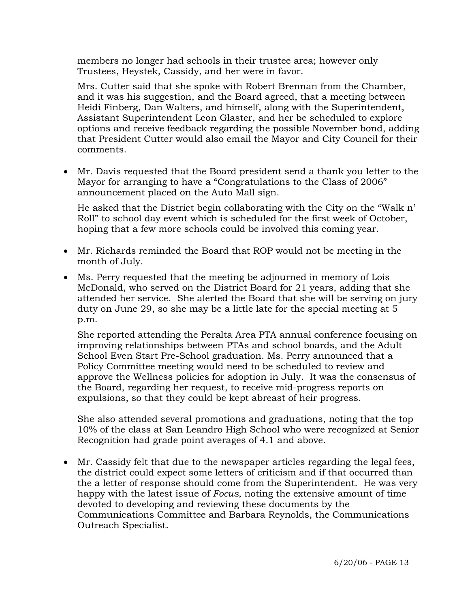members no longer had schools in their trustee area; however only Trustees, Heystek, Cassidy, and her were in favor.

Mrs. Cutter said that she spoke with Robert Brennan from the Chamber, and it was his suggestion, and the Board agreed, that a meeting between Heidi Finberg, Dan Walters, and himself, along with the Superintendent, Assistant Superintendent Leon Glaster, and her be scheduled to explore options and receive feedback regarding the possible November bond, adding that President Cutter would also email the Mayor and City Council for their comments.

• Mr. Davis requested that the Board president send a thank you letter to the Mayor for arranging to have a "Congratulations to the Class of 2006" announcement placed on the Auto Mall sign.

 He asked that the District begin collaborating with the City on the "Walk n' Roll" to school day event which is scheduled for the first week of October, hoping that a few more schools could be involved this coming year.

- Mr. Richards reminded the Board that ROP would not be meeting in the month of July.
- Ms. Perry requested that the meeting be adjourned in memory of Lois McDonald, who served on the District Board for 21 years, adding that she attended her service. She alerted the Board that she will be serving on jury duty on June 29, so she may be a little late for the special meeting at 5 p.m.

She reported attending the Peralta Area PTA annual conference focusing on improving relationships between PTAs and school boards, and the Adult School Even Start Pre-School graduation. Ms. Perry announced that a Policy Committee meeting would need to be scheduled to review and approve the Wellness policies for adoption in July. It was the consensus of the Board, regarding her request, to receive mid-progress reports on expulsions, so that they could be kept abreast of heir progress.

She also attended several promotions and graduations, noting that the top 10% of the class at San Leandro High School who were recognized at Senior Recognition had grade point averages of 4.1 and above.

• Mr. Cassidy felt that due to the newspaper articles regarding the legal fees, the district could expect some letters of criticism and if that occurred than the a letter of response should come from the Superintendent. He was very happy with the latest issue of *Focus*, noting the extensive amount of time devoted to developing and reviewing these documents by the Communications Committee and Barbara Reynolds, the Communications Outreach Specialist.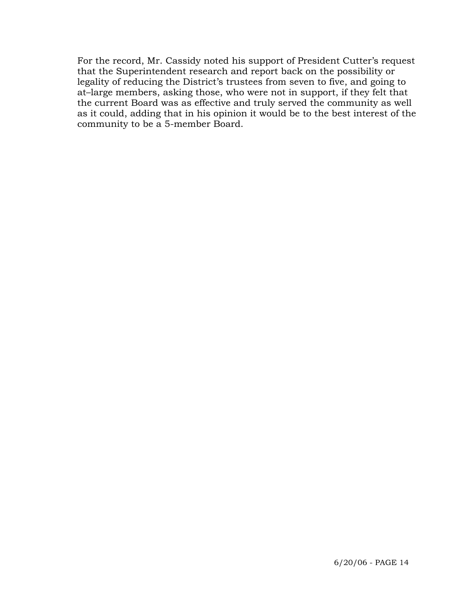For the record, Mr. Cassidy noted his support of President Cutter's request that the Superintendent research and report back on the possibility or legality of reducing the District's trustees from seven to five, and going to at–large members, asking those, who were not in support, if they felt that the current Board was as effective and truly served the community as well as it could, adding that in his opinion it would be to the best interest of the community to be a 5-member Board.